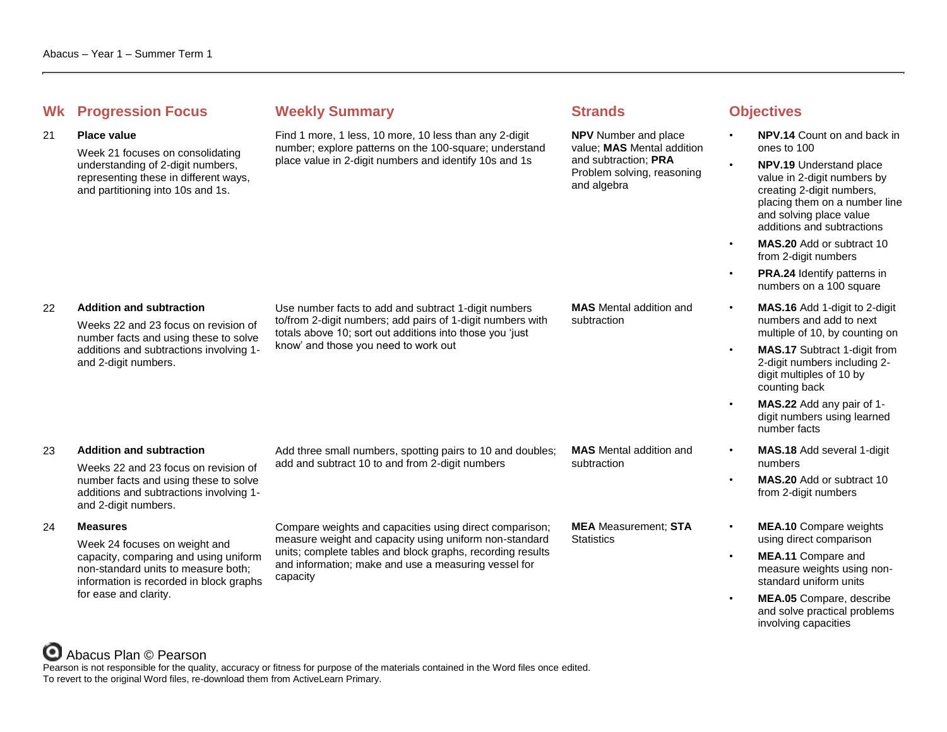## **Whenever Summary Weekly Summary Strands Objectives**

#### 21 **Place value**

Week 21 focuses on consolidating understanding of 2-digit numbers, representing these in different ways, and partitioning into 10s and 1s.

Find 1 more, 1 less, 10 more, 10 less than any 2-digit number; explore patterns on the 100-square; understand place value in 2-digit numbers and identify 10s and 1s

**NPV** Number and place value; **MAS** Mental addition and subtraction; **PRA** Problem solving, reasoning and algebra

- **NPV.14** Count on and back in ones to 100
- **NPV.19** Understand place value in 2-digit numbers by creating 2-digit numbers, placing them on a number line and solving place value additions and subtractions
- **MAS.20** Add or subtract 10 from 2-digit numbers
- **PRA.24** Identify patterns in numbers on a 100 square
- **MAS.16** Add 1-digit to 2-digit numbers and add to next multiple of 10, by counting on
- **MAS.17** Subtract 1-digit from 2-digit numbers including 2 digit multiples of 10 by counting back
- **MAS.22** Add any pair of 1 digit numbers using learned number facts
- **MAS.18** Add several 1-digit numbers
- **MAS.20** Add or subtract 10 from 2-digit numbers
- **MEA.10** Compare weights using direct comparison
- **MEA.11** Compare and measure weights using nonstandard uniform units
- **MEA.05** Compare, describe and solve practical problems involving capacities

### 22 **Addition and subtraction**

Weeks 22 and 23 focus on revision of number facts and using these to solve additions and subtractions involving 1 and 2-digit numbers.

Use number facts to add and subtract 1-digit numbers to/from 2-digit numbers; add pairs of 1-digit numbers with totals above 10; sort out additions into those you ʻjust know' and those you need to work out

**MAS** Mental addition and subtraction

### 23 **Addition and subtraction**

Weeks 22 and 23 focus on revision of number facts and using these to solve additions and subtractions involving 1 and 2-digit numbers.

### 24 **Measures**

Week 24 focuses on weight and capacity, comparing and using uniform non-standard units to measure both; information is recorded in block graphs for ease and clarity.

#### Add three small numbers, spotting pairs to 10 and doubles; add and subtract 10 to and from 2-digit numbers

**MAS** Mental addition and subtraction

Compare weights and capacities using direct comparison; measure weight and capacity using uniform non-standard units; complete tables and block graphs, recording results and information; make and use a measuring vessel for capacity

**MEA** Measurement; **STA Statistics** 

# Abacus Plan © Pearson

Pearson is not responsible for the quality, accuracy or fitness for purpose of the materials contained in the Word files once edited. To revert to the original Word files, re-download them from ActiveLearn Primary.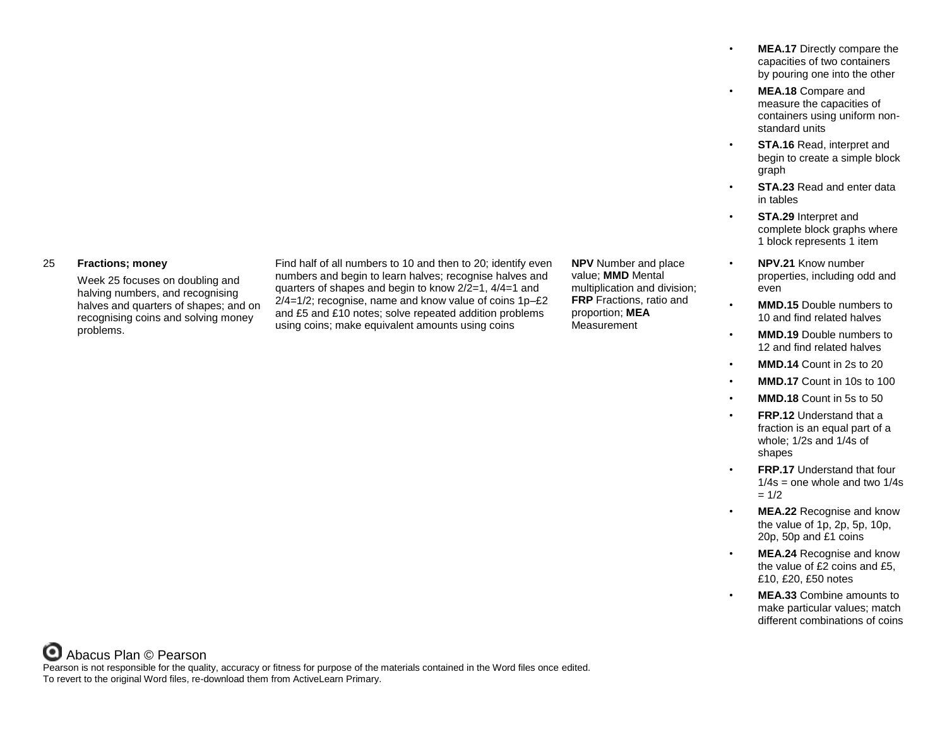- **MEA.17** Directly compare the capacities of two containers by pouring one into the other
- **MEA.18** Compare and measure the capacities of containers using uniform nonstandard units
- **STA.16** Read, interpret and begin to create a simple block graph
- **STA.23** Read and enter data in tables
- **STA.29** Interpret and complete block graphs where 1 block represents 1 item
- **NPV.21** Know number properties, including odd and even
- **MMD.15** Double numbers to 10 and find related halves
- **MMD.19** Double numbers to 12 and find related halves
- **MMD.14** Count in 2s to 20
- **MMD.17** Count in 10s to 100
- **MMD.18** Count in 5s to 50
- **FRP.12** Understand that a fraction is an equal part of a whole; 1/2s and 1/4s of shapes
- **FRP.17** Understand that four  $1/4s$  = one whole and two  $1/4s$  $= 1/2$
- **MEA.22** Recognise and know the value of 1p, 2p, 5p, 10p, 20p, 50p and £1 coins
- **MEA.24** Recognise and know the value of £2 coins and £5, £10, £20, £50 notes
- **MEA.33** Combine amounts to make particular values; match different combinations of coins

### 25 **Fractions; money**

Week 25 focuses on doubling and halving numbers, and recognising halves and quarters of shapes; and on recognising coins and solving money problems.

Find half of all numbers to 10 and then to 20; identify even numbers and begin to learn halves; recognise halves and quarters of shapes and begin to know 2/2=1, 4/4=1 and 2/4=1/2; recognise, name and know value of coins 1p–£2 and £5 and £10 notes; solve repeated addition problems using coins; make equivalent amounts using coins

**NPV** Number and place value; **MMD** Mental multiplication and division; **FRP** Fractions, ratio and proportion; **MEA** Measurement

Abacus Plan © Pearson Pearson is not responsible for the quality, accuracy or fitness for purpose of the materials contained in the Word files once edited. To revert to the original Word files, re-download them from ActiveLearn Primary.